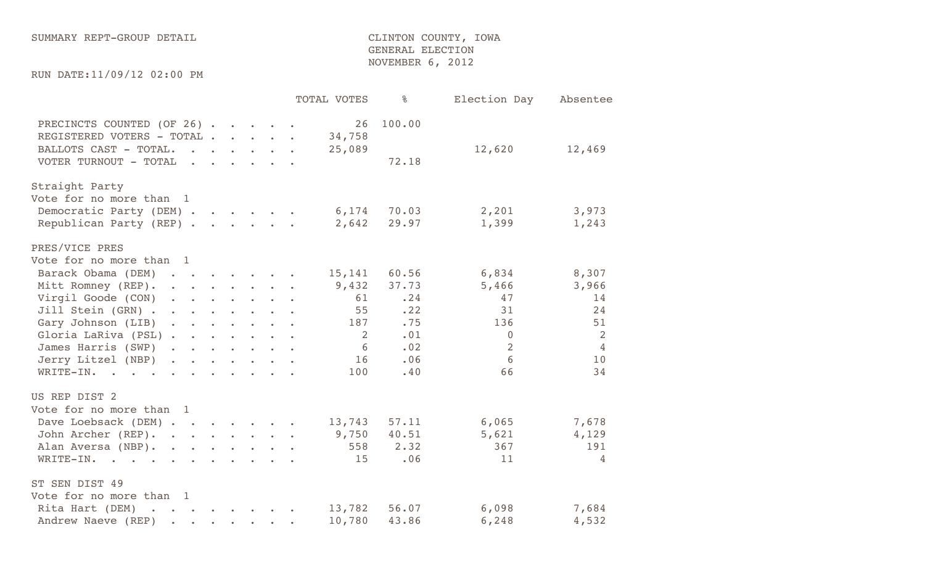## SUMMARY REPT-GROUP DETAIL **Example 20** CLINTON COUNTY, IOWA GENERAL ELECTION NOVEMBER 6, 2012

RUN DATE:11/09/12 02:00 PM

|                                                                                                            |                                                                        |                                                                                                                                               |                |                                                                                                                 | TOTAL VOTES            | နွ              | Election Day   | Absentee       |
|------------------------------------------------------------------------------------------------------------|------------------------------------------------------------------------|-----------------------------------------------------------------------------------------------------------------------------------------------|----------------|-----------------------------------------------------------------------------------------------------------------|------------------------|-----------------|----------------|----------------|
| PRECINCTS COUNTED (OF 26)<br>REGISTERED VOTERS - TOTAL .<br>BALLOTS CAST - TOTAL.<br>VOTER TURNOUT - TOTAL |                                                                        | $\begin{array}{cccccccccccccc} \bullet & \bullet & \bullet & \bullet & \bullet & \bullet & \bullet & \bullet & \bullet & \bullet \end{array}$ |                | $\begin{array}{cccccccccccccc} \bullet & \bullet & \bullet & \bullet & \bullet & \bullet & \bullet \end{array}$ | 26<br>34,758<br>25,089 | 100.00<br>72.18 | 12,620         | 12,469         |
|                                                                                                            |                                                                        |                                                                                                                                               |                |                                                                                                                 |                        |                 |                |                |
| Straight Party                                                                                             |                                                                        |                                                                                                                                               |                |                                                                                                                 |                        |                 |                |                |
| Vote for no more than 1                                                                                    |                                                                        |                                                                                                                                               |                |                                                                                                                 |                        |                 |                |                |
| Democratic Party (DEM).                                                                                    |                                                                        | $\begin{array}{cccccccccccccc} \bullet & \bullet & \bullet & \bullet & \bullet & \bullet & \bullet & \bullet & \bullet \end{array}$           |                |                                                                                                                 | 6,174                  | 70.03           | 2,201          | 3,973          |
| Republican Party (REP)                                                                                     |                                                                        |                                                                                                                                               |                |                                                                                                                 | 2,642                  | 29.97           | 1,399          | 1,243          |
| PRES/VICE PRES                                                                                             |                                                                        |                                                                                                                                               |                |                                                                                                                 |                        |                 |                |                |
| Vote for no more than 1                                                                                    |                                                                        |                                                                                                                                               |                |                                                                                                                 |                        |                 |                |                |
| Barack Obama (DEM)                                                                                         |                                                                        |                                                                                                                                               |                |                                                                                                                 | 15,141                 | 60.56           | 6,834          | 8,307          |
| Mitt Romney (REP).                                                                                         |                                                                        |                                                                                                                                               |                |                                                                                                                 | 9,432                  | 37.73           | 5,466          | 3,966          |
| Virgil Goode (CON)                                                                                         |                                                                        |                                                                                                                                               |                |                                                                                                                 | 61                     | .24             | 47             | 14             |
| Jill Stein (GRN)                                                                                           |                                                                        |                                                                                                                                               |                |                                                                                                                 | 55                     | .22             | 31             | 24             |
| Gary Johnson (LIB)                                                                                         |                                                                        |                                                                                                                                               |                |                                                                                                                 | 187                    | .75             | 136            | 51             |
| Gloria LaRiva (PSL)                                                                                        |                                                                        |                                                                                                                                               |                |                                                                                                                 | $\overline{2}$         | .01             | $\overline{0}$ | 2              |
| James Harris (SWP)                                                                                         |                                                                        |                                                                                                                                               |                |                                                                                                                 | 6                      | .02             | $\overline{2}$ | $\overline{4}$ |
| Jerry Litzel (NBP) .                                                                                       | $\begin{array}{ccc} \bullet & \bullet & \bullet & \bullet \end{array}$ | $\bullet$                                                                                                                                     | $\mathbf{r}$ . | $\mathbf{r}$ .                                                                                                  | 16                     | .06             | 6              | 10             |
| WRITE-IN.                                                                                                  |                                                                        |                                                                                                                                               |                |                                                                                                                 | 100                    | .40             | 66             | 34             |
|                                                                                                            |                                                                        |                                                                                                                                               |                |                                                                                                                 |                        |                 |                |                |
| US REP DIST 2<br>Vote for no more than 1                                                                   |                                                                        |                                                                                                                                               |                |                                                                                                                 |                        |                 |                |                |
|                                                                                                            |                                                                        |                                                                                                                                               |                |                                                                                                                 |                        |                 |                |                |
| Dave Loebsack (DEM)                                                                                        |                                                                        |                                                                                                                                               |                |                                                                                                                 | 13,743                 | 57.11           | 6,065          | 7,678          |
| John Archer (REP).                                                                                         |                                                                        |                                                                                                                                               |                |                                                                                                                 | 9,750                  | 40.51           | 5,621          | 4,129          |
| Alan Aversa (NBP).                                                                                         |                                                                        |                                                                                                                                               |                | $\begin{array}{cccccccccccccc} \bullet & \bullet & \bullet & \bullet & \bullet & \bullet & \bullet \end{array}$ | 558                    | 2.32            | 367            | 191            |
| WRITE-IN.<br><b>Contract Contract Contract Contract</b>                                                    |                                                                        |                                                                                                                                               |                | $\ddot{\bullet}$ and $\ddot{\bullet}$ and $\ddot{\bullet}$                                                      | 15                     | .06             | 11             | $\overline{4}$ |
| ST SEN DIST 49                                                                                             |                                                                        |                                                                                                                                               |                |                                                                                                                 |                        |                 |                |                |
| Vote for no more than 1                                                                                    |                                                                        |                                                                                                                                               |                |                                                                                                                 |                        |                 |                |                |
| Rita Hart (DEM)<br>$\ddot{\phantom{a}}$<br>$\sim$<br>$\sim 100$                                            | <b>Contract Contract</b>                                               |                                                                                                                                               |                |                                                                                                                 | 13,782                 | 56.07           | 6,098          | 7,684          |
| Andrew Naeve (REP)<br>$\bullet$<br>$\ddot{\phantom{a}}$                                                    | $\bullet$                                                              | $\bullet$                                                                                                                                     |                |                                                                                                                 | 10,780                 | 43.86           | 6,248          | 4,532          |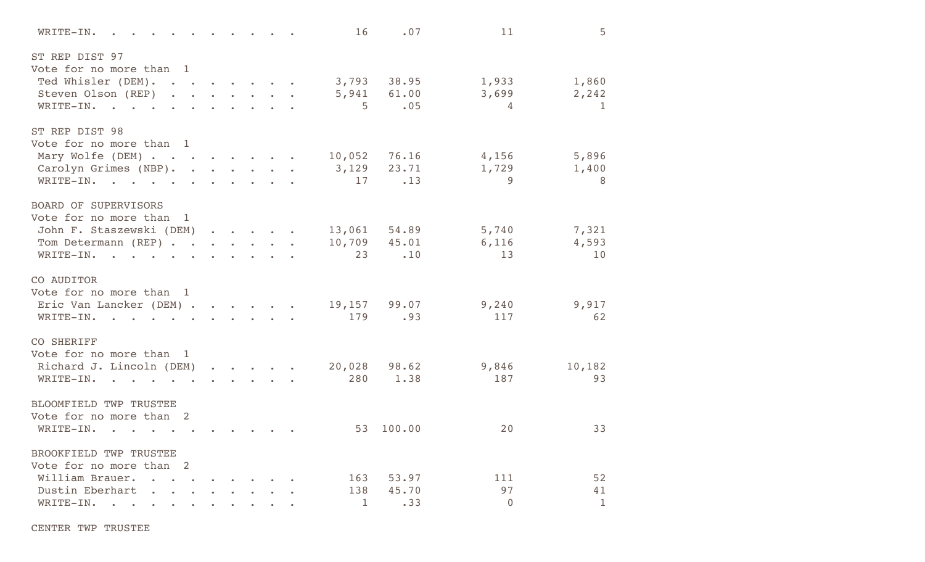| WRITE-IN.                                                                                                                                  |                                                                                                                                                                                   |                                                                                                                                                              |                                                                                                                                                             |                             | 16                    | .07                          | 11                        | 5                              |
|--------------------------------------------------------------------------------------------------------------------------------------------|-----------------------------------------------------------------------------------------------------------------------------------------------------------------------------------|--------------------------------------------------------------------------------------------------------------------------------------------------------------|-------------------------------------------------------------------------------------------------------------------------------------------------------------|-----------------------------|-----------------------|------------------------------|---------------------------|--------------------------------|
| ST REP DIST 97<br>Vote for no more than 1<br>Ted Whisler (DEM).<br>Steven Olson (REP)<br>WRITE-IN.                                         |                                                                                                                                                                                   |                                                                                                                                                              |                                                                                                                                                             |                             | 3,793<br>5,941<br>5   | 38.95<br>61.00<br>.05        | 1,933<br>3,699<br>4       | 1,860<br>2,242<br>$\mathbf{1}$ |
| ST REP DIST 98<br>Vote for no more than 1<br>Mary Wolfe (DEM)<br>Carolyn Grimes (NBP).<br>WRITE-IN.<br>$\mathbf{r} = \mathbf{r}$<br>$\sim$ | <b><i>Committee State Committee State State State State State State State State State State State State State State State State State State State State State State State</i></b> |                                                                                                                                                              |                                                                                                                                                             | $\sim$ $\sim$ $\sim$ $\sim$ | 10,052<br>3,129<br>17 | 76.16<br>23.71<br>.13        | 4,156<br>1,729<br>9       | 5,896<br>1,400<br>8            |
| <b>BOARD OF SUPERVISORS</b><br>Vote for no more than<br>$\mathbf{1}$<br>John F. Staszewski (DEM)<br>Tom Determann (REP)<br>WRITE-IN.       | $\mathcal{L}^{\text{max}}$                                                                                                                                                        | $\begin{array}{cccccccccccccc} \bullet & \bullet & \bullet & \bullet & \bullet & \bullet & \bullet & \bullet \end{array}$<br>$\mathbf{r}$ . The $\mathbf{r}$ | $\sim$                                                                                                                                                      |                             | 10,709<br>23          | 13,061 54.89<br>45.01<br>.10 | 5,740<br>6,116<br>13      | 7,321<br>4,593<br>10           |
| CO AUDITOR<br>Vote for no more than 1<br>Eric Van Lancker (DEM) .<br>WRITE-IN.<br>$\sim$ $\sim$ $\sim$ $\sim$ $\sim$                       | and the state of the state of the state of the state of the state of the state of the state of the state of the                                                                   |                                                                                                                                                              |                                                                                                                                                             |                             | 19,157<br>179         | 99.07<br>.93                 | 9,240<br>117              | 9,917<br>62                    |
| CO SHERIFF<br>Vote for no more than 1<br>Richard J. Lincoln (DEM)<br>WRITE-IN.<br>$\sim$ $\sim$ $\sim$ $\sim$                              | $\bullet$ .<br><br><br><br><br><br><br><br><br><br><br><br>                                                                                                                       |                                                                                                                                                              | $\bullet$ .<br><br><br><br><br><br><br><br><br><br><br><br><br><br><br><br><br><br><br><br><br><br><br><br><br><br><br><br><br><br><br><br><br><br><br><br> |                             | 20,028<br>280         | 98.62<br>1.38                | 9,846<br>187              | 10,182<br>93                   |
| BLOOMFIELD TWP TRUSTEE<br>Vote for no more than 2<br>WRITE-IN.                                                                             |                                                                                                                                                                                   |                                                                                                                                                              |                                                                                                                                                             |                             | 53                    | 100.00                       | 20                        | 33                             |
| BROOKFIELD TWP TRUSTEE<br>Vote for no more than 2<br>William Brauer.<br>Dustin Eberhart<br>WRITE-IN.<br>$\bullet$                          |                                                                                                                                                                                   |                                                                                                                                                              |                                                                                                                                                             |                             | 163<br>138<br>1       | 53.97<br>45.70<br>.33        | 111<br>97<br>$\mathbf{0}$ | 52<br>41<br>$\mathbf{1}$       |

CENTER TWP TRUSTEE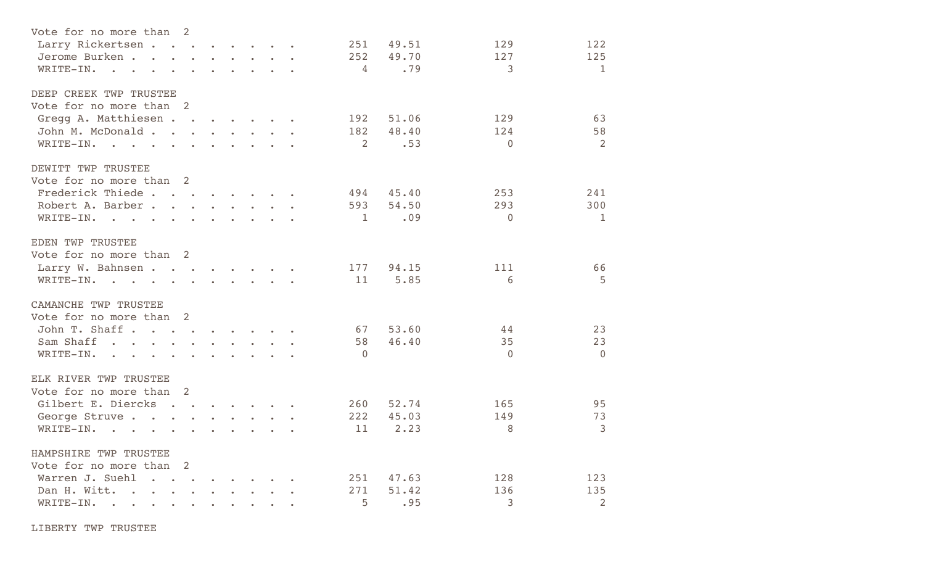| Vote for no more than 2                       |                |                   |                                                                                                                 |                                 |                                                                                                                                                       |            |                |       |          |              |
|-----------------------------------------------|----------------|-------------------|-----------------------------------------------------------------------------------------------------------------|---------------------------------|-------------------------------------------------------------------------------------------------------------------------------------------------------|------------|----------------|-------|----------|--------------|
| Larry Rickertsen                              |                | <b>Contractor</b> | $\bullet$                                                                                                       | $\bullet$ .                     |                                                                                                                                                       |            | 251            | 49.51 | 129      | 122          |
| Jerome Burken.<br>$\sim$ $\sim$ $\sim$ $\sim$ |                |                   |                                                                                                                 |                                 | $\sim$ $\sim$ $\sim$ $\sim$ $\sim$                                                                                                                    |            | 252            | 49.70 | 127      | 125          |
| WRITE-IN.<br>$\sim$                           | $\sim$         |                   |                                                                                                                 |                                 | $\sim$ $\sim$ $\sim$ $\sim$                                                                                                                           |            | 4              | .79   | 3        | $\mathbf{1}$ |
|                                               |                |                   |                                                                                                                 |                                 |                                                                                                                                                       |            |                |       |          |              |
| DEEP CREEK TWP TRUSTEE                        |                |                   |                                                                                                                 |                                 |                                                                                                                                                       |            |                |       |          |              |
| Vote for no more than 2                       |                |                   |                                                                                                                 |                                 |                                                                                                                                                       |            |                |       |          |              |
| Gregg A. Matthiesen                           |                |                   |                                                                                                                 |                                 |                                                                                                                                                       |            | 192            | 51.06 | 129      | 63           |
| John M. McDonald.<br><b>Contract Contract</b> | $\sim$         | $\sim 10^{-11}$   | $\mathbf{r}$ .                                                                                                  |                                 | $\sim$                                                                                                                                                |            | 182            | 48.40 | 124      | 58           |
| WRITE-IN.                                     |                |                   |                                                                                                                 |                                 |                                                                                                                                                       |            | 2              | .53   | $\Omega$ | 2            |
| DEWITT TWP TRUSTEE                            |                |                   |                                                                                                                 |                                 |                                                                                                                                                       |            |                |       |          |              |
| Vote for no more than 2                       |                |                   |                                                                                                                 |                                 |                                                                                                                                                       |            |                |       |          |              |
| Frederick Thiede                              | $\sim$         |                   | $\sim$                                                                                                          | $\sim$                          |                                                                                                                                                       |            | 494            | 45.40 | 253      | 241          |
| Robert A. Barber.<br>$\sim$                   | $\bullet$      | $\sim 10^{-11}$   |                                                                                                                 |                                 | $\sim$ $\sim$ $\sim$ $\sim$                                                                                                                           |            | 593            | 54.50 | 293      | 300          |
| WRITE-IN.<br>$\sim$ 100 $\mu$                 | $\bullet$      |                   |                                                                                                                 | $\sim$ $\sim$ $\sim$            |                                                                                                                                                       | $\sim 100$ | 1              | .09   | $\Omega$ | 1            |
|                                               |                |                   |                                                                                                                 |                                 |                                                                                                                                                       |            |                |       |          |              |
| EDEN TWP TRUSTEE                              |                |                   |                                                                                                                 |                                 |                                                                                                                                                       |            |                |       |          |              |
| Vote for no more than 2                       |                |                   |                                                                                                                 |                                 |                                                                                                                                                       |            |                |       |          |              |
| Larry W. Bahnsen                              |                |                   | and the state of the state of the state of the state of the state of the state of the state of the state of the |                                 |                                                                                                                                                       |            | 177            | 94.15 | 111      | 66           |
| $WRITE-IN.$ .                                 |                |                   |                                                                                                                 |                                 |                                                                                                                                                       |            | 11             | 5.85  | 6        | 5            |
| CAMANCHE TWP TRUSTEE                          |                |                   |                                                                                                                 |                                 |                                                                                                                                                       |            |                |       |          |              |
| Vote for no more than 2                       |                |                   |                                                                                                                 |                                 |                                                                                                                                                       |            |                |       |          |              |
| John T. Shaff                                 | $\sim$         |                   | $\sim$                                                                                                          |                                 |                                                                                                                                                       |            | 67             | 53.60 | 44       | 23           |
| Sam Shaff                                     |                |                   |                                                                                                                 |                                 |                                                                                                                                                       |            | 58             | 46.40 | 35       | 23           |
| WRITE-IN.                                     |                |                   |                                                                                                                 |                                 |                                                                                                                                                       |            | $\overline{0}$ |       | $\Omega$ | $\Omega$     |
| $\bullet$<br>$\bullet$                        |                |                   |                                                                                                                 | $\sim$ $\sim$ $\sim$ $\sim$     |                                                                                                                                                       |            |                |       |          |              |
| ELK RIVER TWP TRUSTEE                         |                |                   |                                                                                                                 |                                 |                                                                                                                                                       |            |                |       |          |              |
| Vote for no more than                         | $\overline{2}$ |                   |                                                                                                                 |                                 |                                                                                                                                                       |            |                |       |          |              |
| Gilbert E. Diercks                            |                | $\sim 10^{-10}$   |                                                                                                                 | $\mathbf{r}$ , and $\mathbf{r}$ | $\bullet$                                                                                                                                             |            | 260            | 52.74 | 165      | 95           |
| George Struve                                 |                |                   |                                                                                                                 |                                 | $\bullet$ and $\bullet$ and $\bullet$ and $\bullet$ and $\bullet$ and $\bullet$ and $\bullet$ and $\bullet$ and $\bullet$ and $\bullet$ and $\bullet$ |            | 222            | 45.03 | 149      | 73           |
| WRITE-IN.<br>$\sim$                           |                |                   |                                                                                                                 |                                 |                                                                                                                                                       |            | 11             | 2.23  | 8        | 3            |
|                                               |                |                   |                                                                                                                 |                                 |                                                                                                                                                       |            |                |       |          |              |
| HAMPSHIRE TWP TRUSTEE                         |                |                   |                                                                                                                 |                                 |                                                                                                                                                       |            |                |       |          |              |
| Vote for no more than 2                       |                |                   |                                                                                                                 |                                 |                                                                                                                                                       |            |                |       |          |              |
| Warren J. Suehl<br>$\sim$                     |                |                   |                                                                                                                 |                                 |                                                                                                                                                       |            | 251            | 47.63 | 128      | 123          |
| Dan H. Witt.                                  |                |                   |                                                                                                                 |                                 |                                                                                                                                                       |            | 271            | 51.42 | 136      | 135          |
| WRITE-IN.                                     |                |                   |                                                                                                                 |                                 |                                                                                                                                                       |            | 5              | .95   | 3        | 2            |
|                                               |                |                   |                                                                                                                 |                                 |                                                                                                                                                       |            |                |       |          |              |

LIBERTY TWP TRUSTEE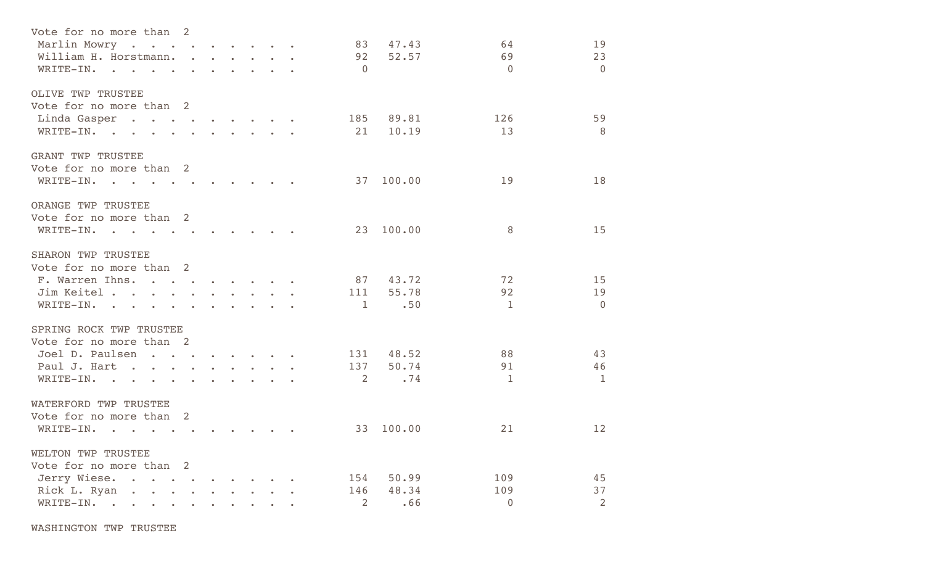| Vote for no more than 2<br>Marlin Mowry<br>William H. Horstmann.<br>WRITE-IN.                                                                                                                                                                                                                                                                                                                                                                                       | $\ddot{\phantom{a}}$ |                 |                                 | $\mathbf{r}$ , $\mathbf{r}$ , $\mathbf{r}$ , $\mathbf{r}$                                                                                                       | 83<br>92<br>$\overline{0}$   | 47.43<br>52.57        | 64<br>69<br>$\Omega$         | 19<br>23<br>$\overline{0}$ |
|---------------------------------------------------------------------------------------------------------------------------------------------------------------------------------------------------------------------------------------------------------------------------------------------------------------------------------------------------------------------------------------------------------------------------------------------------------------------|----------------------|-----------------|---------------------------------|-----------------------------------------------------------------------------------------------------------------------------------------------------------------|------------------------------|-----------------------|------------------------------|----------------------------|
| OLIVE TWP TRUSTEE<br>Vote for no more than 2<br>Linda Gasper.<br>WRITE-IN.                                                                                                                                                                                                                                                                                                                                                                                          |                      |                 |                                 |                                                                                                                                                                 | 185<br>21                    | 89.81<br>10.19        | 126<br>13                    | 59<br>- 8                  |
| <b>GRANT TWP TRUSTEE</b><br>Vote for no more than 2<br>WRITE-IN.                                                                                                                                                                                                                                                                                                                                                                                                    |                      |                 |                                 |                                                                                                                                                                 | 37                           | 100.00                | 19                           | 18                         |
| ORANGE TWP TRUSTEE<br>Vote for no more than 2<br>WRITE-IN.                                                                                                                                                                                                                                                                                                                                                                                                          |                      |                 |                                 |                                                                                                                                                                 | 23                           | 100.00                | 8                            | 15                         |
| SHARON TWP TRUSTEE<br>Vote for no more than 2<br>F. Warren Ihns.<br>Jim Keitel .<br>the contract of the contract of the contract of the contract of the contract of the contract of the contract of<br>WRITE-IN.                                                                                                                                                                                                                                                    | $\sim$               | $\sim 10^{-11}$ | $\mathbf{r}$ , and $\mathbf{r}$ | $\sim$ $\sim$ $\sim$ $\sim$ $\sim$<br>$\begin{array}{cccccccccccccc} \bullet & \bullet & \bullet & \bullet & \bullet & \bullet & \bullet & \bullet \end{array}$ | 87<br>111<br>1               | 43.72<br>55.78<br>.50 | 72<br>92<br>$\mathbf{1}$     | 15<br>19<br>$\Omega$       |
| SPRING ROCK TWP TRUSTEE<br>Vote for no more than 2<br>Joel D. Paulsen<br>recommendation of the communication of the communication of the communication of the communication of the communication of the communication of the communication of the communication of the communication of the communicati<br>Paul J. Hart<br>$\sim$<br>$\sim$<br>$\sim$<br>WRITE-IN.<br>$\sim$ $\sim$<br>$\bullet$ .<br><br><br><br><br><br><br><br><br><br><br><br><br><br>$\bullet$ | $\sim$               |                 |                                 |                                                                                                                                                                 | 131<br>137<br>2              | 48.52<br>50.74<br>.74 | 88<br>91<br>1                | 43<br>46<br><sup>-1</sup>  |
| WATERFORD TWP TRUSTEE<br>Vote for no more than 2<br>WRITE-IN.<br>$\mathbf{r}$ .                                                                                                                                                                                                                                                                                                                                                                                     |                      |                 |                                 |                                                                                                                                                                 |                              | 33 100.00             | 21                           | 12                         |
| WELTON TWP TRUSTEE<br>Vote for no more than 2<br>Jerry Wiese.<br>Rick L. Ryan.<br>WRITE-IN.<br>$\bullet$ .<br><br><br><br><br><br><br><br><br><br><br><br>                                                                                                                                                                                                                                                                                                          |                      |                 |                                 |                                                                                                                                                                 | 154<br>146<br>$\overline{2}$ | 50.99<br>48.34<br>.66 | 109<br>109<br>$\overline{0}$ | 45<br>37<br>2              |

WASHINGTON TWP TRUSTEE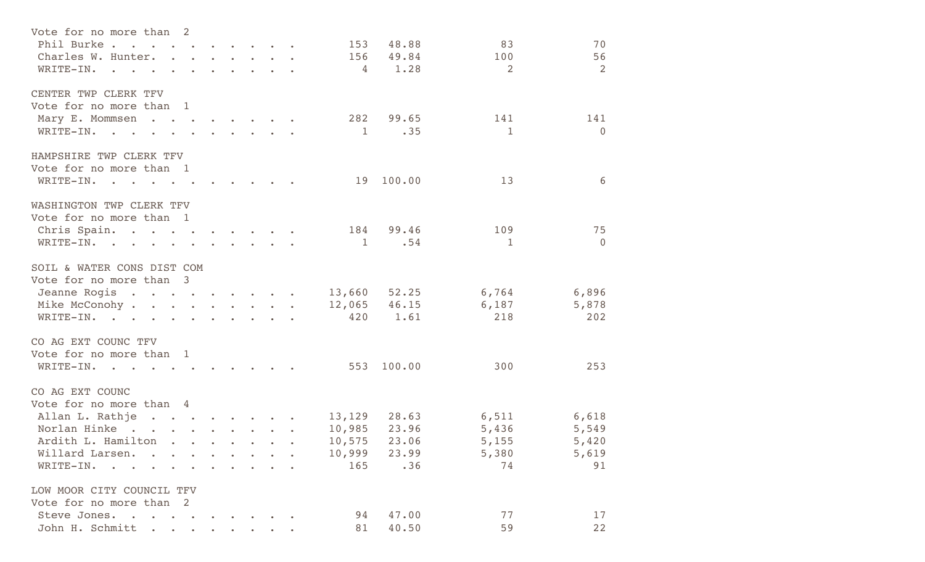| Vote for no more than 2                                                                                                                                                                                                                                     |  |                                                                      |                |                  |              |                |
|-------------------------------------------------------------------------------------------------------------------------------------------------------------------------------------------------------------------------------------------------------------|--|----------------------------------------------------------------------|----------------|------------------|--------------|----------------|
| Phil Burke.                                                                                                                                                                                                                                                 |  |                                                                      | 153            | 48.88            | 83           | 70             |
| Charles W. Hunter.                                                                                                                                                                                                                                          |  |                                                                      | 156            | 49.84            | 100          | 56             |
| WRITE-IN.<br>$\sim$ 100 $\mu$                                                                                                                                                                                                                               |  | $\sim$ $\sim$ $\sim$ $\sim$                                          | 4              | 1.28             | 2            | 2              |
| CENTER TWP CLERK TFV                                                                                                                                                                                                                                        |  |                                                                      |                |                  |              |                |
| Vote for no more than 1                                                                                                                                                                                                                                     |  |                                                                      |                |                  |              |                |
| Mary E. Mommsen                                                                                                                                                                                                                                             |  |                                                                      | 282            | 99.65            | 141          | 141            |
| WRITE-IN.                                                                                                                                                                                                                                                   |  | $\sim$ $\sim$ $\sim$ $\sim$ $\sim$                                   | 1              | .35              | $\mathbf{1}$ | $\overline{0}$ |
| HAMPSHIRE TWP CLERK TFV                                                                                                                                                                                                                                     |  |                                                                      |                |                  |              |                |
| Vote for no more than 1                                                                                                                                                                                                                                     |  |                                                                      |                |                  |              |                |
| WRITE-IN.<br>$\sim$ $\sim$ $\sim$                                                                                                                                                                                                                           |  |                                                                      | 19             | 100.00           | 13           | 6              |
| WASHINGTON TWP CLERK TFV                                                                                                                                                                                                                                    |  |                                                                      |                |                  |              |                |
| Vote for no more than 1                                                                                                                                                                                                                                     |  |                                                                      |                |                  |              |                |
| Chris Spain.                                                                                                                                                                                                                                                |  |                                                                      |                | 184 99.46        | 109          | 75             |
| WRITE-IN.                                                                                                                                                                                                                                                   |  | $\mathbf{r} = \mathbf{r}$ , and the set of $\mathbf{r} = \mathbf{r}$ | $\overline{1}$ | .54              | 1            | $\Omega$       |
| SOIL & WATER CONS DIST COM                                                                                                                                                                                                                                  |  |                                                                      |                |                  |              |                |
| Vote for no more than 3                                                                                                                                                                                                                                     |  |                                                                      |                |                  |              |                |
| Jeanne Rogis                                                                                                                                                                                                                                                |  |                                                                      |                | 13,660 52.25     | 6,764        | 6,896          |
| Mike McConohy                                                                                                                                                                                                                                               |  |                                                                      |                | $12,065$ $46.15$ | 6,187        | 5,878          |
| WRITE-IN.                                                                                                                                                                                                                                                   |  |                                                                      | 420            | 1.61             | 218          | 202            |
| CO AG EXT COUNC TFV                                                                                                                                                                                                                                         |  |                                                                      |                |                  |              |                |
| Vote for no more than 1                                                                                                                                                                                                                                     |  |                                                                      |                |                  |              |                |
| WRITE-IN.                                                                                                                                                                                                                                                   |  |                                                                      | 553            | 100.00           | 300          | 253            |
| CO AG EXT COUNC                                                                                                                                                                                                                                             |  |                                                                      |                |                  |              |                |
| Vote for no more than 4                                                                                                                                                                                                                                     |  |                                                                      |                |                  |              |                |
| Allan L. Rathje<br><u>in the second control of the second control of the second control of the second control of the second control of the second control of the second control of the second control of the second control of the second control o</u>     |  |                                                                      |                | 13, 129 28.63    | 6,511        | 6,618          |
| Norlan Hinke.<br><b><i>Contract Contract Contract Contract Contract Contract Contract Contract Contract Contract Contract Contract Contract Contract Contract Contract Contract Contract Contract Contract Contract Contract Contract Contract Cont</i></b> |  |                                                                      | 10,985         | 23.96            | 5,436        | 5,549          |
| Ardith L. Hamilton                                                                                                                                                                                                                                          |  |                                                                      |                | 10,575 23.06     | 5,155        | 5,420          |
| Willard Larsen.                                                                                                                                                                                                                                             |  |                                                                      | 10,999         | 23.99            | 5,380        | 5,619          |
| WRITE-IN.                                                                                                                                                                                                                                                   |  |                                                                      | 165            | .36              | 74           | 91             |
| LOW MOOR CITY COUNCIL TFV                                                                                                                                                                                                                                   |  |                                                                      |                |                  |              |                |
| Vote for no more than 2                                                                                                                                                                                                                                     |  |                                                                      |                |                  |              |                |
| Steve Jones.<br>$\sim$                                                                                                                                                                                                                                      |  |                                                                      | 94             | 47.00            | 77           | 17             |
| John H. Schmitt                                                                                                                                                                                                                                             |  |                                                                      | 81             | 40.50            | 59           | 22             |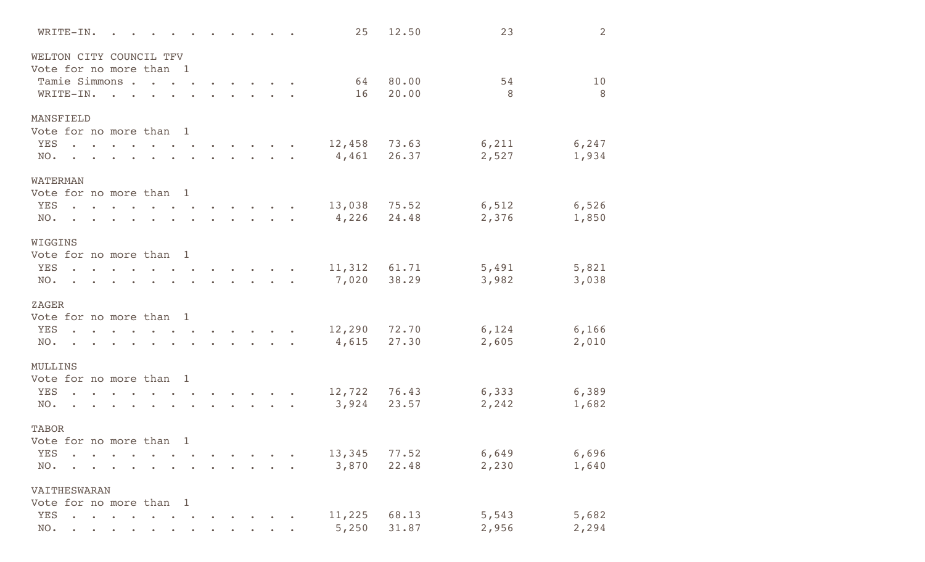|                                                    | WRITE-IN.            |                                   |                      |           |  |                             |  | 25     | 12.50 | 23     | 2      |
|----------------------------------------------------|----------------------|-----------------------------------|----------------------|-----------|--|-----------------------------|--|--------|-------|--------|--------|
| WELTON CITY COUNCIL TFV<br>Vote for no more than 1 |                      |                                   |                      |           |  |                             |  |        |       |        |        |
|                                                    | Tamie Simmons.       |                                   | $\ddot{\phantom{a}}$ |           |  |                             |  | 64     | 80.00 | 54     | 10     |
|                                                    | WRITE-IN.            | $\mathbf{r}$                      |                      |           |  |                             |  | 16     | 20.00 | 8      | 8      |
|                                                    |                      |                                   |                      |           |  |                             |  |        |       |        |        |
| MANSFIELD                                          |                      |                                   |                      |           |  |                             |  |        |       |        |        |
| Vote for no more than 1                            |                      |                                   |                      |           |  |                             |  |        |       |        |        |
| <b>YES</b>                                         | $\ddot{\phantom{a}}$ |                                   |                      |           |  |                             |  | 12,458 | 73.63 | 6,211  | 6, 247 |
| NO.                                                |                      |                                   |                      |           |  |                             |  | 4,461  | 26.37 | 2,527  | 1,934  |
| <b>WATERMAN</b>                                    |                      |                                   |                      |           |  |                             |  |        |       |        |        |
| Vote for no more than 1                            |                      |                                   |                      |           |  |                             |  |        |       |        |        |
| <b>YES</b>                                         | $\ddot{\phantom{a}}$ |                                   |                      |           |  |                             |  | 13,038 | 75.52 | 6, 512 | 6,526  |
| NO.                                                | $\bullet$            |                                   |                      |           |  |                             |  | 4,226  | 24.48 | 2,376  | 1,850  |
|                                                    |                      |                                   |                      |           |  |                             |  |        |       |        |        |
| WIGGINS                                            |                      |                                   |                      |           |  |                             |  |        |       |        |        |
| Vote for no more than 1                            |                      |                                   |                      |           |  |                             |  |        |       |        |        |
| <b>YES</b>                                         |                      |                                   |                      |           |  |                             |  | 11,312 | 61.71 | 5,491  | 5,821  |
| NO.                                                | $\mathbf{r}$         | and the state of the state of the | $\bullet$            | $\bullet$ |  | $\sim$ $\sim$ $\sim$ $\sim$ |  | 7,020  | 38.29 | 3,982  | 3,038  |
|                                                    |                      |                                   |                      |           |  |                             |  |        |       |        |        |
| ZAGER                                              |                      |                                   |                      |           |  |                             |  |        |       |        |        |
| Vote for no more than 1                            |                      |                                   |                      |           |  |                             |  |        |       |        |        |
| <b>YES</b><br>NO.                                  |                      |                                   |                      |           |  |                             |  | 12,290 | 72.70 | 6,124  | 6,166  |
|                                                    |                      |                                   |                      |           |  |                             |  | 4,615  | 27.30 | 2,605  | 2,010  |
| MULLINS                                            |                      |                                   |                      |           |  |                             |  |        |       |        |        |
| Vote for no more than 1                            |                      |                                   |                      |           |  |                             |  |        |       |        |        |
| <b>YES</b>                                         | $\Delta$             |                                   |                      |           |  |                             |  | 12,722 | 76.43 | 6,333  | 6,389  |
| NO.                                                |                      |                                   |                      |           |  |                             |  | 3,924  | 23.57 | 2,242  | 1,682  |
|                                                    |                      |                                   |                      |           |  |                             |  |        |       |        |        |
| <b>TABOR</b>                                       |                      |                                   |                      |           |  |                             |  |        |       |        |        |
| Vote for no more than 1                            |                      |                                   |                      |           |  |                             |  |        |       |        |        |
| <b>YES</b>                                         |                      |                                   |                      |           |  |                             |  | 13,345 | 77.52 | 6,649  | 6,696  |
| NO.                                                |                      |                                   |                      |           |  |                             |  | 3,870  | 22.48 | 2,230  | 1,640  |
| VAITHESWARAN                                       |                      |                                   |                      |           |  |                             |  |        |       |        |        |
| Vote for no more than 1                            |                      |                                   |                      |           |  |                             |  |        |       |        |        |
| YES                                                |                      |                                   |                      |           |  |                             |  | 11,225 | 68.13 | 5,543  | 5,682  |
| NO.                                                |                      |                                   |                      |           |  |                             |  | 5,250  | 31.87 | 2,956  | 2,294  |